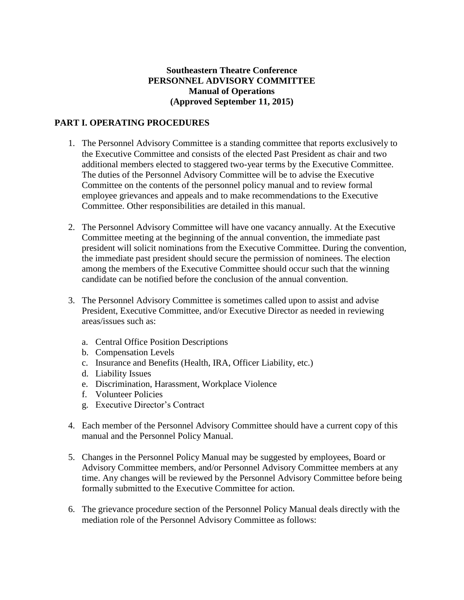## **Southeastern Theatre Conference PERSONNEL ADVISORY COMMITTEE Manual of Operations (Approved September 11, 2015)**

## **PART I. OPERATING PROCEDURES**

- 1. The Personnel Advisory Committee is a standing committee that reports exclusively to the Executive Committee and consists of the elected Past President as chair and two additional members elected to staggered two-year terms by the Executive Committee. The duties of the Personnel Advisory Committee will be to advise the Executive Committee on the contents of the personnel policy manual and to review formal employee grievances and appeals and to make recommendations to the Executive Committee. Other responsibilities are detailed in this manual.
- 2. The Personnel Advisory Committee will have one vacancy annually. At the Executive Committee meeting at the beginning of the annual convention, the immediate past president will solicit nominations from the Executive Committee. During the convention, the immediate past president should secure the permission of nominees. The election among the members of the Executive Committee should occur such that the winning candidate can be notified before the conclusion of the annual convention.
- 3. The Personnel Advisory Committee is sometimes called upon to assist and advise President, Executive Committee, and/or Executive Director as needed in reviewing areas/issues such as:
	- a. Central Office Position Descriptions
	- b. Compensation Levels
	- c. Insurance and Benefits (Health, IRA, Officer Liability, etc.)
	- d. Liability Issues
	- e. Discrimination, Harassment, Workplace Violence
	- f. Volunteer Policies
	- g. Executive Director's Contract
- 4. Each member of the Personnel Advisory Committee should have a current copy of this manual and the Personnel Policy Manual.
- 5. Changes in the Personnel Policy Manual may be suggested by employees, Board or Advisory Committee members, and/or Personnel Advisory Committee members at any time. Any changes will be reviewed by the Personnel Advisory Committee before being formally submitted to the Executive Committee for action.
- 6. The grievance procedure section of the Personnel Policy Manual deals directly with the mediation role of the Personnel Advisory Committee as follows: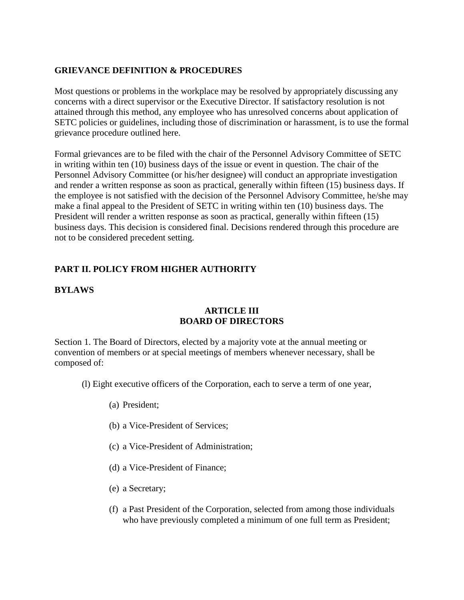## **GRIEVANCE DEFINITION & PROCEDURES**

Most questions or problems in the workplace may be resolved by appropriately discussing any concerns with a direct supervisor or the Executive Director. If satisfactory resolution is not attained through this method, any employee who has unresolved concerns about application of SETC policies or guidelines, including those of discrimination or harassment, is to use the formal grievance procedure outlined here.

Formal grievances are to be filed with the chair of the Personnel Advisory Committee of SETC in writing within ten (10) business days of the issue or event in question. The chair of the Personnel Advisory Committee (or his/her designee) will conduct an appropriate investigation and render a written response as soon as practical, generally within fifteen (15) business days. If the employee is not satisfied with the decision of the Personnel Advisory Committee, he/she may make a final appeal to the President of SETC in writing within ten (10) business days. The President will render a written response as soon as practical, generally within fifteen (15) business days. This decision is considered final. Decisions rendered through this procedure are not to be considered precedent setting.

# **PART II. POLICY FROM HIGHER AUTHORITY**

## **BYLAWS**

## **ARTICLE III BOARD OF DIRECTORS**

Section 1. The Board of Directors, elected by a majority vote at the annual meeting or convention of members or at special meetings of members whenever necessary, shall be composed of:

- (l) Eight executive officers of the Corporation, each to serve a term of one year,
	- (a) President;
	- (b) a Vice-President of Services;
	- (c) a Vice-President of Administration;
	- (d) a Vice-President of Finance;
	- (e) a Secretary;
	- (f) a Past President of the Corporation, selected from among those individuals who have previously completed a minimum of one full term as President;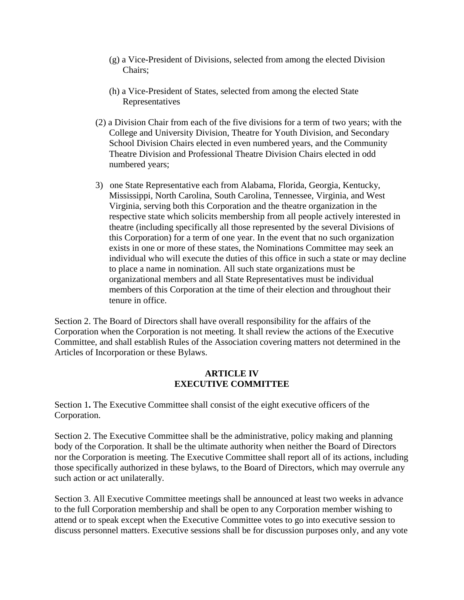- (g) a Vice-President of Divisions, selected from among the elected Division Chairs;
- (h) a Vice-President of States, selected from among the elected State Representatives
- (2) a Division Chair from each of the five divisions for a term of two years; with the College and University Division, Theatre for Youth Division, and Secondary School Division Chairs elected in even numbered years, and the Community Theatre Division and Professional Theatre Division Chairs elected in odd numbered years;
- 3) one State Representative each from Alabama, Florida, Georgia, Kentucky, Mississippi, North Carolina, South Carolina, Tennessee, Virginia, and West Virginia, serving both this Corporation and the theatre organization in the respective state which solicits membership from all people actively interested in theatre (including specifically all those represented by the several Divisions of this Corporation) for a term of one year. In the event that no such organization exists in one or more of these states, the Nominations Committee may seek an individual who will execute the duties of this office in such a state or may decline to place a name in nomination. All such state organizations must be organizational members and all State Representatives must be individual members of this Corporation at the time of their election and throughout their tenure in office.

Section 2. The Board of Directors shall have overall responsibility for the affairs of the Corporation when the Corporation is not meeting. It shall review the actions of the Executive Committee, and shall establish Rules of the Association covering matters not determined in the Articles of Incorporation or these Bylaws.

#### **ARTICLE IV EXECUTIVE COMMITTEE**

Section 1**.** The Executive Committee shall consist of the eight executive officers of the Corporation.

Section 2. The Executive Committee shall be the administrative, policy making and planning body of the Corporation. It shall be the ultimate authority when neither the Board of Directors nor the Corporation is meeting. The Executive Committee shall report all of its actions, including those specifically authorized in these bylaws, to the Board of Directors, which may overrule any such action or act unilaterally.

Section 3. All Executive Committee meetings shall be announced at least two weeks in advance to the full Corporation membership and shall be open to any Corporation member wishing to attend or to speak except when the Executive Committee votes to go into executive session to discuss personnel matters. Executive sessions shall be for discussion purposes only, and any vote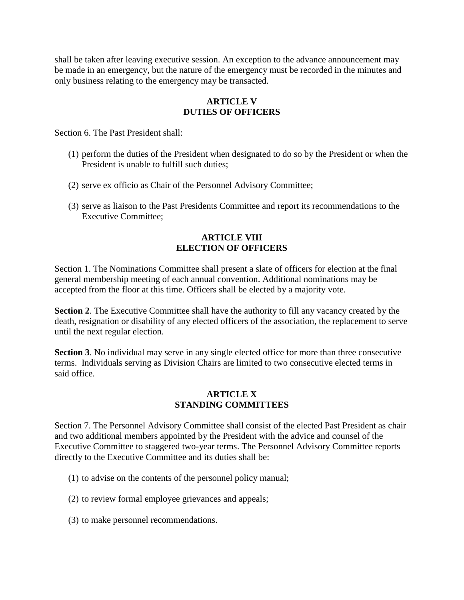shall be taken after leaving executive session. An exception to the advance announcement may be made in an emergency, but the nature of the emergency must be recorded in the minutes and only business relating to the emergency may be transacted.

## **ARTICLE V DUTIES OF OFFICERS**

Section 6. The Past President shall:

- (1) perform the duties of the President when designated to do so by the President or when the President is unable to fulfill such duties;
- (2) serve ex officio as Chair of the Personnel Advisory Committee;
- (3) serve as liaison to the Past Presidents Committee and report its recommendations to the Executive Committee;

### **ARTICLE VIII ELECTION OF OFFICERS**

Section 1. The Nominations Committee shall present a slate of officers for election at the final general membership meeting of each annual convention. Additional nominations may be accepted from the floor at this time. Officers shall be elected by a majority vote.

**Section 2.** The Executive Committee shall have the authority to fill any vacancy created by the death, resignation or disability of any elected officers of the association, the replacement to serve until the next regular election.

**Section 3**. No individual may serve in any single elected office for more than three consecutive terms. Individuals serving as Division Chairs are limited to two consecutive elected terms in said office.

#### **ARTICLE X STANDING COMMITTEES**

Section 7. The Personnel Advisory Committee shall consist of the elected Past President as chair and two additional members appointed by the President with the advice and counsel of the Executive Committee to staggered two-year terms. The Personnel Advisory Committee reports directly to the Executive Committee and its duties shall be:

- (1) to advise on the contents of the personnel policy manual;
- (2) to review formal employee grievances and appeals;
- (3) to make personnel recommendations.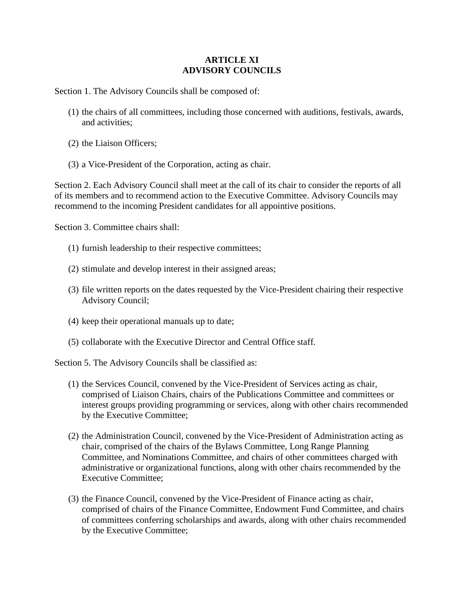### **ARTICLE XI ADVISORY COUNCILS**

Section 1. The Advisory Councils shall be composed of:

- (1) the chairs of all committees, including those concerned with auditions, festivals, awards, and activities;
- (2) the Liaison Officers;
- (3) a Vice-President of the Corporation, acting as chair.

Section 2. Each Advisory Council shall meet at the call of its chair to consider the reports of all of its members and to recommend action to the Executive Committee. Advisory Councils may recommend to the incoming President candidates for all appointive positions.

Section 3. Committee chairs shall:

- (1) furnish leadership to their respective committees;
- (2) stimulate and develop interest in their assigned areas;
- (3) file written reports on the dates requested by the Vice-President chairing their respective Advisory Council;
- (4) keep their operational manuals up to date;
- (5) collaborate with the Executive Director and Central Office staff.

Section 5. The Advisory Councils shall be classified as:

- (1) the Services Council, convened by the Vice-President of Services acting as chair, comprised of Liaison Chairs, chairs of the Publications Committee and committees or interest groups providing programming or services, along with other chairs recommended by the Executive Committee;
- (2) the Administration Council, convened by the Vice-President of Administration acting as chair, comprised of the chairs of the Bylaws Committee, Long Range Planning Committee, and Nominations Committee, and chairs of other committees charged with administrative or organizational functions, along with other chairs recommended by the Executive Committee;
- (3) the Finance Council, convened by the Vice-President of Finance acting as chair, comprised of chairs of the Finance Committee, Endowment Fund Committee, and chairs of committees conferring scholarships and awards, along with other chairs recommended by the Executive Committee;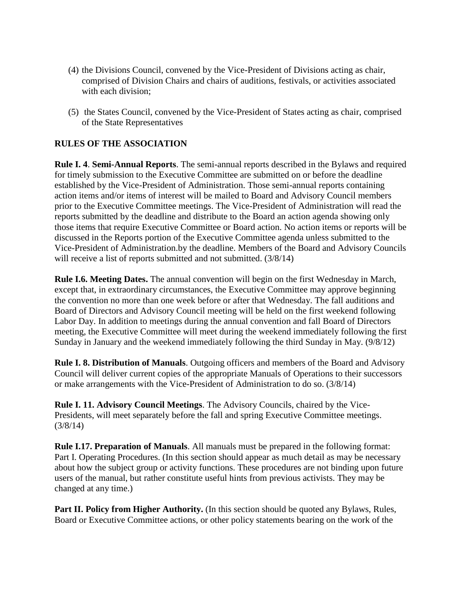- (4) the Divisions Council, convened by the Vice-President of Divisions acting as chair, comprised of Division Chairs and chairs of auditions, festivals, or activities associated with each division;
- (5) the States Council, convened by the Vice-President of States acting as chair, comprised of the State Representatives

## **RULES OF THE ASSOCIATION**

**Rule I. 4**. **Semi-Annual Reports**. The semi-annual reports described in the Bylaws and required for timely submission to the Executive Committee are submitted on or before the deadline established by the Vice-President of Administration. Those semi-annual reports containing action items and/or items of interest will be mailed to Board and Advisory Council members prior to the Executive Committee meetings. The Vice-President of Administration will read the reports submitted by the deadline and distribute to the Board an action agenda showing only those items that require Executive Committee or Board action. No action items or reports will be discussed in the Reports portion of the Executive Committee agenda unless submitted to the Vice-President of Administration.by the deadline. Members of the Board and Advisory Councils will receive a list of reports submitted and not submitted. (3/8/14)

**Rule I.6. Meeting Dates.** The annual convention will begin on the first Wednesday in March, except that, in extraordinary circumstances, the Executive Committee may approve beginning the convention no more than one week before or after that Wednesday. The fall auditions and Board of Directors and Advisory Council meeting will be held on the first weekend following Labor Day. In addition to meetings during the annual convention and fall Board of Directors meeting, the Executive Committee will meet during the weekend immediately following the first Sunday in January and the weekend immediately following the third Sunday in May. (9/8/12)

**Rule I. 8. Distribution of Manuals**. Outgoing officers and members of the Board and Advisory Council will deliver current copies of the appropriate Manuals of Operations to their successors or make arrangements with the Vice-President of Administration to do so. (3/8/14)

**Rule I. 11. Advisory Council Meetings**. The Advisory Councils, chaired by the Vice-Presidents, will meet separately before the fall and spring Executive Committee meetings. (3/8/14)

**Rule I.17. Preparation of Manuals**. All manuals must be prepared in the following format: Part I. Operating Procedures. (In this section should appear as much detail as may be necessary about how the subject group or activity functions. These procedures are not binding upon future users of the manual, but rather constitute useful hints from previous activists. They may be changed at any time.)

**Part II. Policy from Higher Authority.** (In this section should be quoted any Bylaws, Rules, Board or Executive Committee actions, or other policy statements bearing on the work of the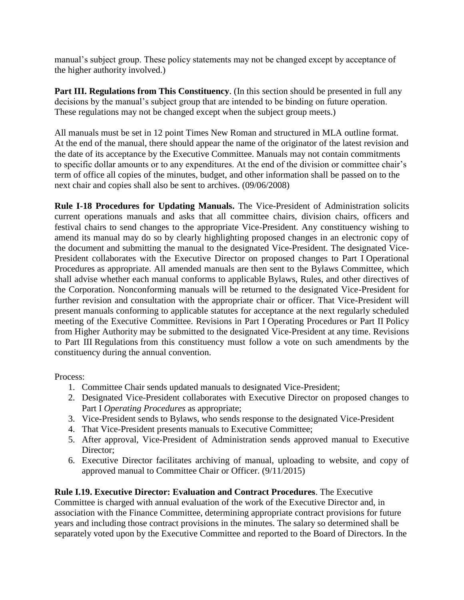manual's subject group. These policy statements may not be changed except by acceptance of the higher authority involved.)

**Part III. Regulations from This Constituency**. (In this section should be presented in full any decisions by the manual's subject group that are intended to be binding on future operation. These regulations may not be changed except when the subject group meets.)

All manuals must be set in 12 point Times New Roman and structured in MLA outline format. At the end of the manual, there should appear the name of the originator of the latest revision and the date of its acceptance by the Executive Committee. Manuals may not contain commitments to specific dollar amounts or to any expenditures. At the end of the division or committee chair's term of office all copies of the minutes, budget, and other information shall be passed on to the next chair and copies shall also be sent to archives. (09/06/2008)

**Rule I-18 Procedures for Updating Manuals.** The Vice-President of Administration solicits current operations manuals and asks that all committee chairs, division chairs, officers and festival chairs to send changes to the appropriate Vice-President. Any constituency wishing to amend its manual may do so by clearly highlighting proposed changes in an electronic copy of the document and submitting the manual to the designated Vice-President. The designated Vice-President collaborates with the Executive Director on proposed changes to Part I Operational Procedures as appropriate. All amended manuals are then sent to the Bylaws Committee, which shall advise whether each manual conforms to applicable Bylaws, Rules, and other directives of the Corporation. Nonconforming manuals will be returned to the designated Vice-President for further revision and consultation with the appropriate chair or officer. That Vice-President will present manuals conforming to applicable statutes for acceptance at the next regularly scheduled meeting of the Executive Committee. Revisions in Part I Operating Procedures or Part II Policy from Higher Authority may be submitted to the designated Vice-President at any time. Revisions to Part III Regulations from this constituency must follow a vote on such amendments by the constituency during the annual convention.

Process:

- 1. Committee Chair sends updated manuals to designated Vice-President;
- 2. Designated Vice-President collaborates with Executive Director on proposed changes to Part I *Operating Procedures* as appropriate;
- 3. Vice-President sends to Bylaws, who sends response to the designated Vice-President
- 4. That Vice-President presents manuals to Executive Committee;
- 5. After approval, Vice-President of Administration sends approved manual to Executive Director;
- 6. Executive Director facilitates archiving of manual, uploading to website, and copy of approved manual to Committee Chair or Officer. (9/11/2015)

**Rule I.19. Executive Director: Evaluation and Contract Procedures**. The Executive Committee is charged with annual evaluation of the work of the Executive Director and, in association with the Finance Committee, determining appropriate contract provisions for future years and including those contract provisions in the minutes. The salary so determined shall be separately voted upon by the Executive Committee and reported to the Board of Directors. In the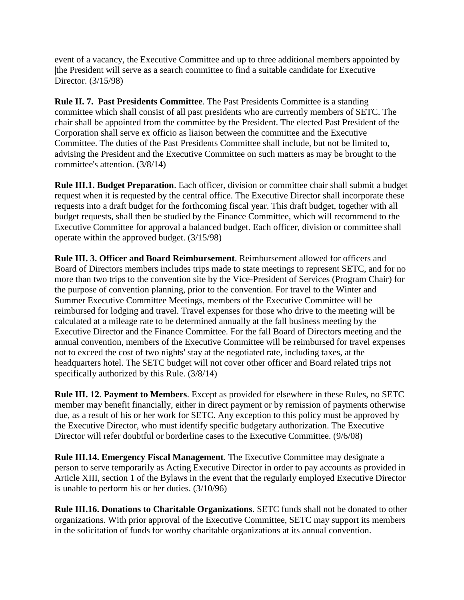event of a vacancy, the Executive Committee and up to three additional members appointed by |the President will serve as a search committee to find a suitable candidate for Executive Director. (3/15/98)

**Rule II. 7. Past Presidents Committee**. The Past Presidents Committee is a standing committee which shall consist of all past presidents who are currently members of SETC. The chair shall be appointed from the committee by the President. The elected Past President of the Corporation shall serve ex officio as liaison between the committee and the Executive Committee. The duties of the Past Presidents Committee shall include, but not be limited to, advising the President and the Executive Committee on such matters as may be brought to the committee's attention. (3/8/14)

**Rule III.1. Budget Preparation**. Each officer, division or committee chair shall submit a budget request when it is requested by the central office. The Executive Director shall incorporate these requests into a draft budget for the forthcoming fiscal year. This draft budget, together with all budget requests, shall then be studied by the Finance Committee, which will recommend to the Executive Committee for approval a balanced budget. Each officer, division or committee shall operate within the approved budget. (3/15/98)

**Rule III. 3. Officer and Board Reimbursement**. Reimbursement allowed for officers and Board of Directors members includes trips made to state meetings to represent SETC, and for no more than two trips to the convention site by the Vice-President of Services (Program Chair) for the purpose of convention planning, prior to the convention. For travel to the Winter and Summer Executive Committee Meetings, members of the Executive Committee will be reimbursed for lodging and travel. Travel expenses for those who drive to the meeting will be calculated at a mileage rate to be determined annually at the fall business meeting by the Executive Director and the Finance Committee. For the fall Board of Directors meeting and the annual convention, members of the Executive Committee will be reimbursed for travel expenses not to exceed the cost of two nights' stay at the negotiated rate, including taxes, at the headquarters hotel. The SETC budget will not cover other officer and Board related trips not specifically authorized by this Rule. (3/8/14)

**Rule III. 12**. **Payment to Members**. Except as provided for elsewhere in these Rules, no SETC member may benefit financially, either in direct payment or by remission of payments otherwise due, as a result of his or her work for SETC. Any exception to this policy must be approved by the Executive Director, who must identify specific budgetary authorization. The Executive Director will refer doubtful or borderline cases to the Executive Committee. (9/6/08)

**Rule III.14. Emergency Fiscal Management**. The Executive Committee may designate a person to serve temporarily as Acting Executive Director in order to pay accounts as provided in Article XIII, section 1 of the Bylaws in the event that the regularly employed Executive Director is unable to perform his or her duties. (3/10/96)

**Rule III.16. Donations to Charitable Organizations**. SETC funds shall not be donated to other organizations. With prior approval of the Executive Committee, SETC may support its members in the solicitation of funds for worthy charitable organizations at its annual convention.